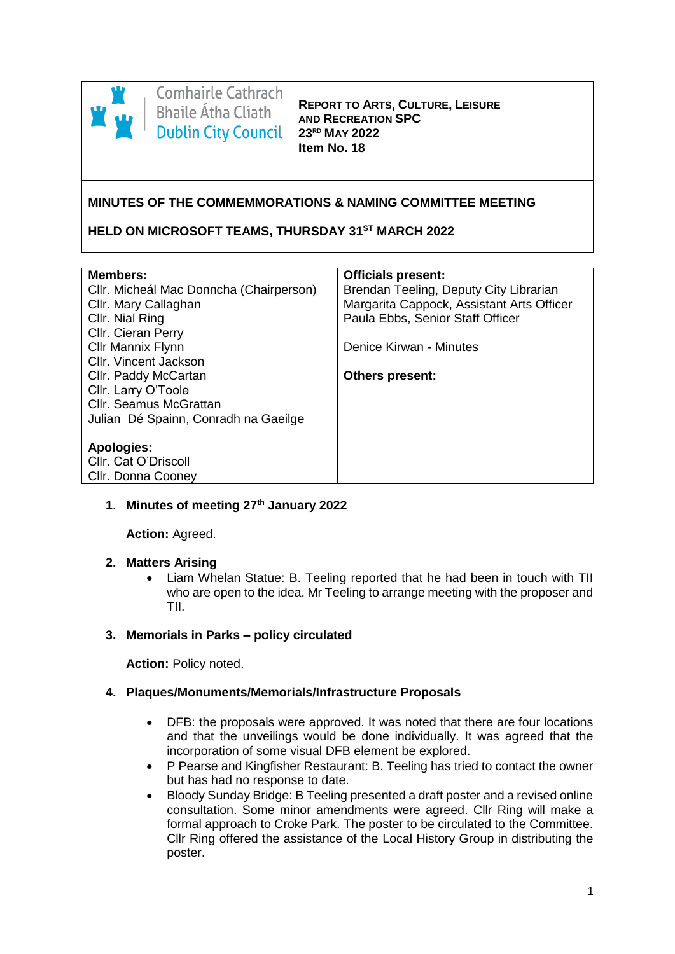

# **Comhairle Cathrach Bhaile Átha Cliath Dublin City Council**

**REPORT TO ARTS, CULTURE, LEISURE AND RECREATION SPC 23RD MAY 2022 Item No. 18**

#### **MINUTES OF THE COMMEMMORATIONS & NAMING COMMITTEE MEETING**

#### **HELD ON MICROSOFT TEAMS, THURSDAY 31ST MARCH 2022**

| <b>Officials present:</b>                 |
|-------------------------------------------|
| Brendan Teeling, Deputy City Librarian    |
| Margarita Cappock, Assistant Arts Officer |
| Paula Ebbs, Senior Staff Officer          |
|                                           |
| Denice Kirwan - Minutes                   |
|                                           |
| <b>Others present:</b>                    |
|                                           |
|                                           |
|                                           |
|                                           |
|                                           |
|                                           |
|                                           |
|                                           |

#### **1. Minutes of meeting 27th January 2022**

**Action:** Agreed.

#### **2. Matters Arising**

 Liam Whelan Statue: B. Teeling reported that he had been in touch with TII who are open to the idea. Mr Teeling to arrange meeting with the proposer and TII.

#### **3. Memorials in Parks – policy circulated**

**Action: Policy noted.** 

#### **4. Plaques/Monuments/Memorials/Infrastructure Proposals**

- DFB: the proposals were approved. It was noted that there are four locations and that the unveilings would be done individually. It was agreed that the incorporation of some visual DFB element be explored.
- P Pearse and Kingfisher Restaurant: B. Teeling has tried to contact the owner but has had no response to date.
- Bloody Sunday Bridge: B Teeling presented a draft poster and a revised online consultation. Some minor amendments were agreed. Cllr Ring will make a formal approach to Croke Park. The poster to be circulated to the Committee. Cllr Ring offered the assistance of the Local History Group in distributing the poster.